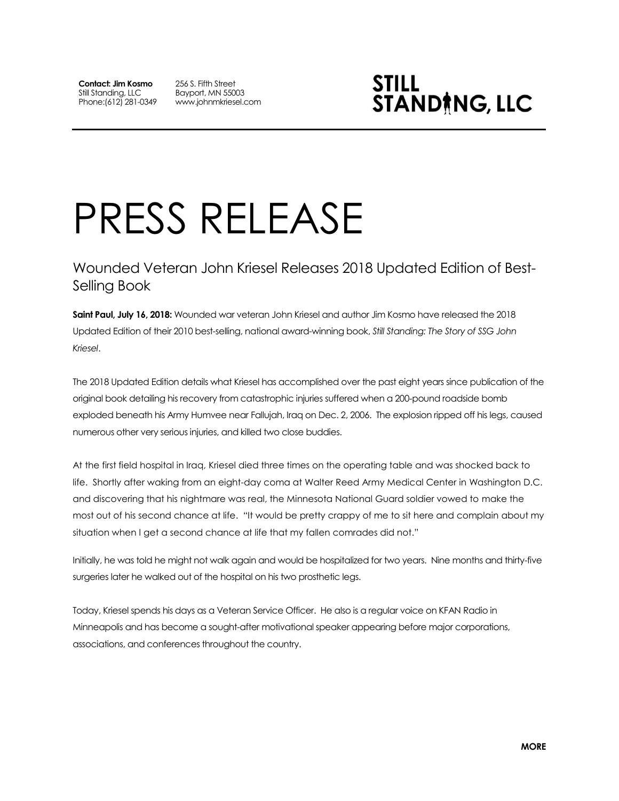**Contact: Jim Kosmo** Still Standing, LLC Phone:(612) 281-0349 256 S. Fifth Street Bayport, MN 55003 www.johnmkriesel.com



## PRESS RELEASE

## Wounded Veteran John Kriesel Releases 2018 Updated Edition of Best-Selling Book

**Saint Paul, July 16, 2018:** Wounded war veteran John Kriesel and author Jim Kosmo have released the 2018 Updated Edition of their 2010 best-selling, national award-winning book, *Still Standing: The Story of SSG John Kriesel*.

The 2018 Updated Edition details what Kriesel has accomplished over the past eight years since publication of the original book detailing his recovery from catastrophic injuries suffered when a 200-pound roadside bomb exploded beneath his Army Humvee near Fallujah, Iraq on Dec. 2, 2006. The explosion ripped off his legs, caused numerous other very serious injuries, and killed two close buddies.

At the first field hospital in Iraq, Kriesel died three times on the operating table and was shocked back to life. Shortly after waking from an eight-day coma at Walter Reed Army Medical Center in Washington D.C. and discovering that his nightmare was real, the Minnesota National Guard soldier vowed to make the most out of his second chance at life. "It would be pretty crappy of me to sit here and complain about my situation when I get a second chance at life that my fallen comrades did not."

Initially, he was told he might not walk again and would be hospitalized for two years. Nine months and thirty-five surgeries later he walked out of the hospital on his two prosthetic legs.

Today, Kriesel spends his days as a Veteran Service Officer. He also is a regular voice on KFAN Radio in Minneapolis and has become a sought-after motivational speaker appearing before major corporations, associations, and conferences throughout the country.